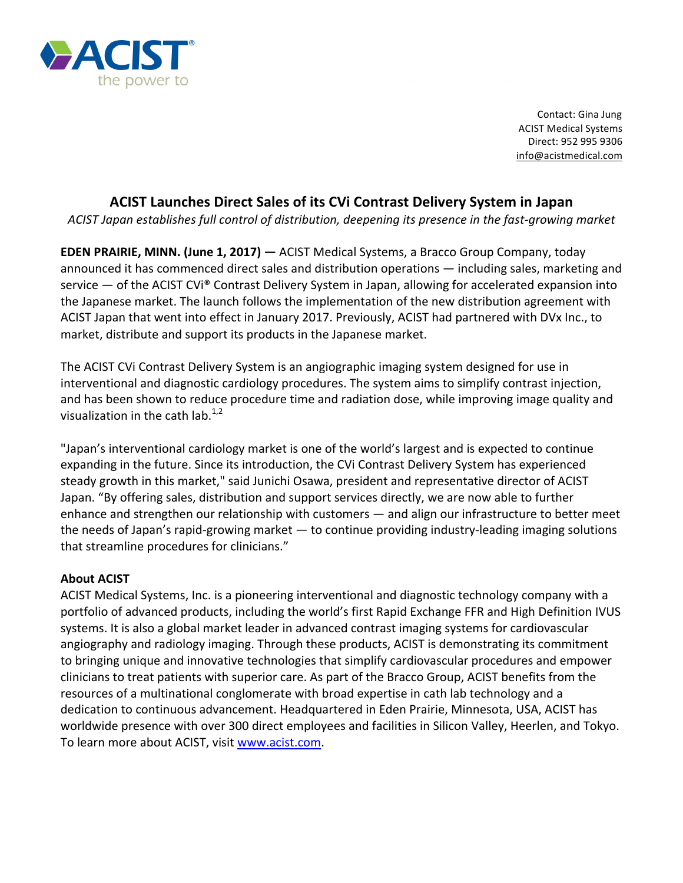

Contact: Gina Jung **ACIST Medical Systems** Direct: 952 995 9306 info@acistmedical.com

## **ACIST Launches Direct Sales of its CVi Contrast Delivery System in Japan**

*ACIST Japan establishes full control of distribution, deepening its presence in the fast-growing market*

**EDEN PRAIRIE, MINN. (June 1, 2017)** — ACIST Medical Systems, a Bracco Group Company, today announced it has commenced direct sales and distribution operations — including sales, marketing and service  $-$  of the ACIST CVi® Contrast Delivery System in Japan, allowing for accelerated expansion into the Japanese market. The launch follows the implementation of the new distribution agreement with ACIST Japan that went into effect in January 2017. Previously, ACIST had partnered with DVx Inc., to market, distribute and support its products in the Japanese market.

The ACIST CVi Contrast Delivery System is an angiographic imaging system designed for use in interventional and diagnostic cardiology procedures. The system aims to simplify contrast injection, and has been shown to reduce procedure time and radiation dose, while improving image quality and visualization in the cath  $\text{lab.}^{1,2}$ 

"Japan's interventional cardiology market is one of the world's largest and is expected to continue expanding in the future. Since its introduction, the CVi Contrast Delivery System has experienced steady growth in this market," said Junichi Osawa, president and representative director of ACIST Japan. "By offering sales, distribution and support services directly, we are now able to further enhance and strengthen our relationship with customers — and align our infrastructure to better meet the needs of Japan's rapid-growing market  $-$  to continue providing industry-leading imaging solutions that streamline procedures for clinicians."

## **About ACIST**

ACIST Medical Systems, Inc. is a pioneering interventional and diagnostic technology company with a portfolio of advanced products, including the world's first Rapid Exchange FFR and High Definition IVUS systems. It is also a global market leader in advanced contrast imaging systems for cardiovascular angiography and radiology imaging. Through these products, ACIST is demonstrating its commitment to bringing unique and innovative technologies that simplify cardiovascular procedures and empower clinicians to treat patients with superior care. As part of the Bracco Group, ACIST benefits from the resources of a multinational conglomerate with broad expertise in cath lab technology and a dedication to continuous advancement. Headquartered in Eden Prairie, Minnesota, USA, ACIST has worldwide presence with over 300 direct employees and facilities in Silicon Valley, Heerlen, and Tokyo. To learn more about ACIST, visit www.acist.com.